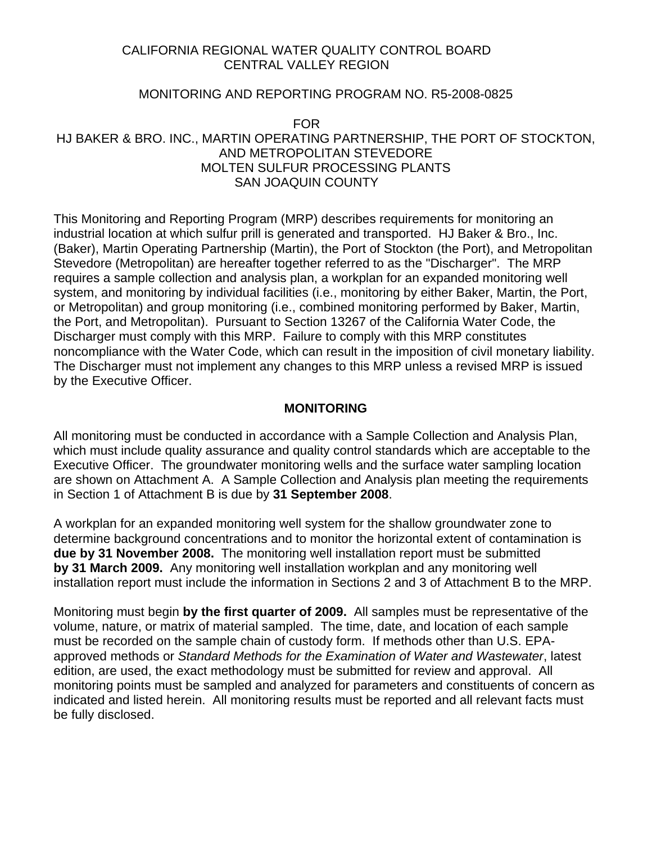## CALIFORNIA REGIONAL WATER QUALITY CONTROL BOARD CENTRAL VALLEY REGION

## MONITORING AND REPORTING PROGRAM NO. R5-2008-0825

FOR HJ BAKER & BRO. INC., MARTIN OPERATING PARTNERSHIP, THE PORT OF STOCKTON, AND METROPOLITAN STEVEDORE MOLTEN SULFUR PROCESSING PLANTS SAN JOAQUIN COUNTY

This Monitoring and Reporting Program (MRP) describes requirements for monitoring an industrial location at which sulfur prill is generated and transported. HJ Baker & Bro., Inc. (Baker), Martin Operating Partnership (Martin), the Port of Stockton (the Port), and Metropolitan Stevedore (Metropolitan) are hereafter together referred to as the "Discharger". The MRP requires a sample collection and analysis plan, a workplan for an expanded monitoring well system, and monitoring by individual facilities (i.e., monitoring by either Baker, Martin, the Port, or Metropolitan) and group monitoring (i.e., combined monitoring performed by Baker, Martin, the Port, and Metropolitan). Pursuant to Section 13267 of the California Water Code, the Discharger must comply with this MRP. Failure to comply with this MRP constitutes noncompliance with the Water Code, which can result in the imposition of civil monetary liability. The Discharger must not implement any changes to this MRP unless a revised MRP is issued by the Executive Officer.

## **MONITORING**

All monitoring must be conducted in accordance with a Sample Collection and Analysis Plan, which must include quality assurance and quality control standards which are acceptable to the Executive Officer. The groundwater monitoring wells and the surface water sampling location are shown on Attachment A. A Sample Collection and Analysis plan meeting the requirements in Section 1 of Attachment B is due by **31 September 2008**.

A workplan for an expanded monitoring well system for the shallow groundwater zone to determine background concentrations and to monitor the horizontal extent of contamination is **due by 31 November 2008.** The monitoring well installation report must be submitted **by 31 March 2009.** Any monitoring well installation workplan and any monitoring well installation report must include the information in Sections 2 and 3 of Attachment B to the MRP.

Monitoring must begin **by the first quarter of 2009.** All samples must be representative of the volume, nature, or matrix of material sampled. The time, date, and location of each sample must be recorded on the sample chain of custody form. If methods other than U.S. EPAapproved methods or *Standard Methods for the Examination of Water and Wastewater*, latest edition, are used, the exact methodology must be submitted for review and approval. All monitoring points must be sampled and analyzed for parameters and constituents of concern as indicated and listed herein. All monitoring results must be reported and all relevant facts must be fully disclosed.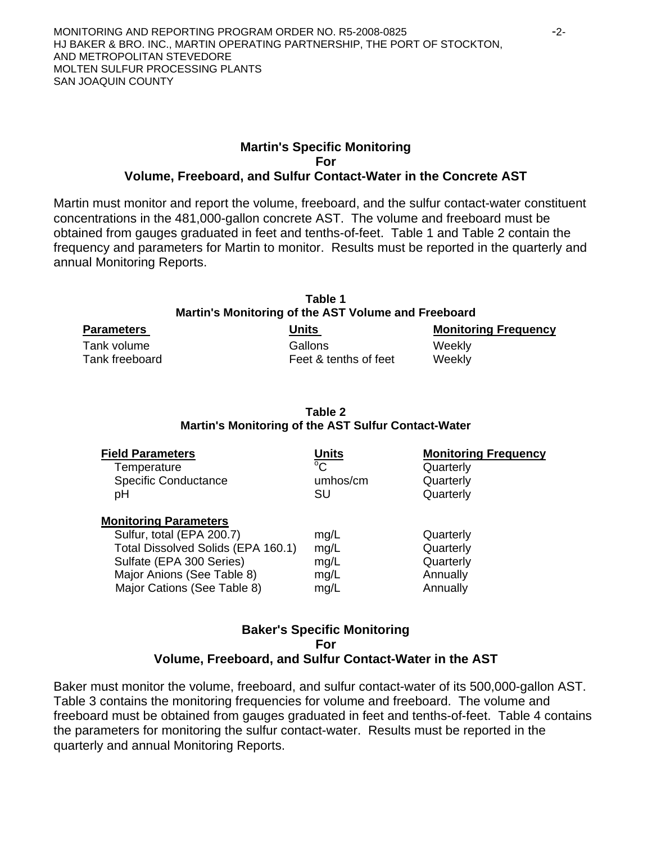#### **Martin's Specific Monitoring For Volume, Freeboard, and Sulfur Contact-Water in the Concrete AST**

Martin must monitor and report the volume, freeboard, and the sulfur contact-water constituent concentrations in the 481,000-gallon concrete AST. The volume and freeboard must be obtained from gauges graduated in feet and tenths-of-feet. Table 1 and Table 2 contain the frequency and parameters for Martin to monitor. Results must be reported in the quarterly and annual Monitoring Reports.

| Table 1<br>Martin's Monitoring of the AST Volume and Freeboard |  |                       |  |                             |
|----------------------------------------------------------------|--|-----------------------|--|-----------------------------|
| <b>Parameters</b>                                              |  | Units                 |  | <b>Monitoring Frequency</b> |
| Tank volume                                                    |  | Gallons               |  | Weekly                      |
| Tank freeboard                                                 |  | Feet & tenths of feet |  | Weekly                      |

| Table 2                                             |
|-----------------------------------------------------|
| Martin's Monitoring of the AST Sulfur Contact-Water |

| <b>Field Parameters</b>                                                                                                                                                                  | <b>Units</b>                         | <b>Monitoring Frequency</b>                                 |
|------------------------------------------------------------------------------------------------------------------------------------------------------------------------------------------|--------------------------------------|-------------------------------------------------------------|
| Temperature                                                                                                                                                                              | $^{\circ}C$                          | Quarterly                                                   |
| <b>Specific Conductance</b>                                                                                                                                                              | umhos/cm                             | Quarterly                                                   |
| рH                                                                                                                                                                                       | SU                                   | Quarterly                                                   |
| <b>Monitoring Parameters</b><br>Sulfur, total (EPA 200.7)<br>Total Dissolved Solids (EPA 160.1)<br>Sulfate (EPA 300 Series)<br>Major Anions (See Table 8)<br>Major Cations (See Table 8) | mg/L<br>mg/L<br>mg/L<br>mg/L<br>mg/L | Quarterly<br>Quarterly<br>Quarterly<br>Annually<br>Annually |

## **Baker's Specific Monitoring For Volume, Freeboard, and Sulfur Contact-Water in the AST**

Baker must monitor the volume, freeboard, and sulfur contact-water of its 500,000-gallon AST. Table 3 contains the monitoring frequencies for volume and freeboard. The volume and freeboard must be obtained from gauges graduated in feet and tenths-of-feet. Table 4 contains the parameters for monitoring the sulfur contact-water. Results must be reported in the quarterly and annual Monitoring Reports.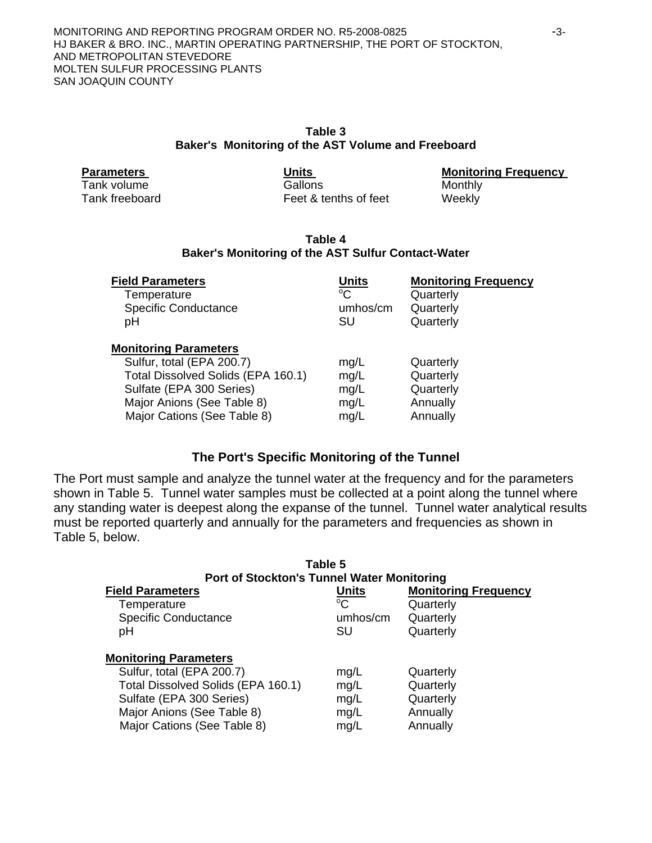| Table 3                                            |
|----------------------------------------------------|
| Baker's Monitoring of the AST Volume and Freeboard |

|  |  | <b>Parameters</b> |  |  |
|--|--|-------------------|--|--|
|--|--|-------------------|--|--|

Tank volume Gallons Gallons Monthly Tank freeboard **Feet & tenths of feet Weekly** 

**Parameters Units Monitoring Frequency** 

#### **Table 4 Baker's Monitoring of the AST Sulfur Contact-Water**

| <b>Field Parameters</b>                                                                                                                                                                  | Units                                | <b>Monitoring Frequency</b>                                 |
|------------------------------------------------------------------------------------------------------------------------------------------------------------------------------------------|--------------------------------------|-------------------------------------------------------------|
| Temperature                                                                                                                                                                              | $^{\circ}C$                          | Quarterly                                                   |
| <b>Specific Conductance</b>                                                                                                                                                              | umhos/cm                             | Quarterly                                                   |
| рH                                                                                                                                                                                       | SU                                   | Quarterly                                                   |
| <b>Monitoring Parameters</b><br>Sulfur, total (EPA 200.7)<br>Total Dissolved Solids (EPA 160.1)<br>Sulfate (EPA 300 Series)<br>Major Anions (See Table 8)<br>Major Cations (See Table 8) | mq/L<br>mg/L<br>mg/L<br>mq/L<br>mg/L | Quarterly<br>Quarterly<br>Quarterly<br>Annually<br>Annually |

## **The Port's Specific Monitoring of the Tunnel**

The Port must sample and analyze the tunnel water at the frequency and for the parameters shown in Table 5. Tunnel water samples must be collected at a point along the tunnel where any standing water is deepest along the expanse of the tunnel. Tunnel water analytical results must be reported quarterly and annually for the parameters and frequencies as shown in Table 5, below.

| Table 5<br><b>Port of Stockton's Tunnel Water Monitoring</b>                                                                                                                             |                                        |                                                                    |  |  |
|------------------------------------------------------------------------------------------------------------------------------------------------------------------------------------------|----------------------------------------|--------------------------------------------------------------------|--|--|
| <b>Field Parameters</b><br>Temperature<br><b>Specific Conductance</b><br>рH                                                                                                              | Units<br>$^{\circ}C$<br>umhos/cm<br>SU | <b>Monitoring Frequency</b><br>Quarterly<br>Quarterly<br>Quarterly |  |  |
| <b>Monitoring Parameters</b><br>Sulfur, total (EPA 200.7)<br>Total Dissolved Solids (EPA 160.1)<br>Sulfate (EPA 300 Series)<br>Major Anions (See Table 8)<br>Major Cations (See Table 8) | mg/L<br>mg/L<br>mg/L<br>mg/L<br>mg/L   | Quarterly<br>Quarterly<br>Quarterly<br>Annually<br>Annually        |  |  |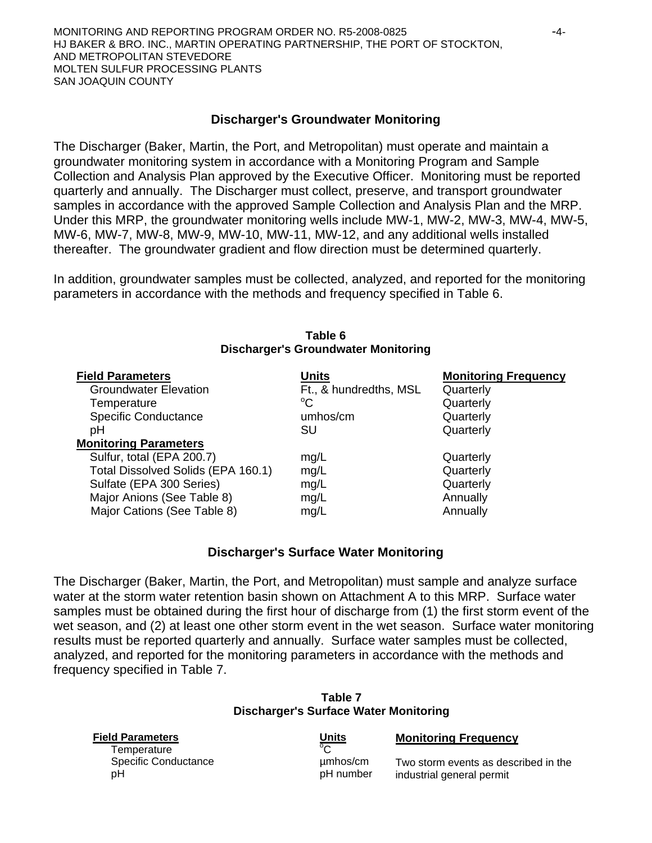#### **Discharger's Groundwater Monitoring**

The Discharger (Baker, Martin, the Port, and Metropolitan) must operate and maintain a groundwater monitoring system in accordance with a Monitoring Program and Sample Collection and Analysis Plan approved by the Executive Officer. Monitoring must be reported quarterly and annually. The Discharger must collect, preserve, and transport groundwater samples in accordance with the approved Sample Collection and Analysis Plan and the MRP. Under this MRP, the groundwater monitoring wells include MW-1, MW-2, MW-3, MW-4, MW-5, MW-6, MW-7, MW-8, MW-9, MW-10, MW-11, MW-12, and any additional wells installed thereafter. The groundwater gradient and flow direction must be determined quarterly.

In addition, groundwater samples must be collected, analyzed, and reported for the monitoring parameters in accordance with the methods and frequency specified in Table 6.

| <b>Discharger's Groundwater Monitoring</b> |                        |                             |  |  |
|--------------------------------------------|------------------------|-----------------------------|--|--|
| <b>Field Parameters</b>                    | Units                  | <b>Monitoring Frequency</b> |  |  |
| <b>Groundwater Elevation</b>               | Ft., & hundredths, MSL | Quarterly                   |  |  |
| Temperature                                | $^{\circ}C$            | Quarterly                   |  |  |
| <b>Specific Conductance</b>                | umhos/cm               | Quarterly                   |  |  |
| pH                                         | SU                     | Quarterly                   |  |  |
| <b>Monitoring Parameters</b>               |                        |                             |  |  |
| Sulfur, total (EPA 200.7)                  | mg/L                   | Quarterly                   |  |  |
| Total Dissolved Solids (EPA 160.1)         | mg/L                   | Quarterly                   |  |  |
| Sulfate (EPA 300 Series)                   | mg/L                   | Quarterly                   |  |  |
| Major Anions (See Table 8)                 | mg/L                   | Annually                    |  |  |
| Major Cations (See Table 8)                | mg/L                   | Annually                    |  |  |

# **Table 6**

#### **Discharger's Surface Water Monitoring**

The Discharger (Baker, Martin, the Port, and Metropolitan) must sample and analyze surface water at the storm water retention basin shown on Attachment A to this MRP. Surface water samples must be obtained during the first hour of discharge from (1) the first storm event of the wet season, and (2) at least one other storm event in the wet season. Surface water monitoring results must be reported quarterly and annually. Surface water samples must be collected, analyzed, and reported for the monitoring parameters in accordance with the methods and frequency specified in Table 7.

|                                        | l able 7<br><b>Discharger's Surface Water Monitoring</b> |                                                                   |
|----------------------------------------|----------------------------------------------------------|-------------------------------------------------------------------|
| <b>Field Parameters</b><br>Temperature | <b>Units</b><br>$\overline{C}$                           | <b>Monitoring Frequency</b>                                       |
| <b>Specific Conductance</b><br>рH      | umhos/cm<br>pH number                                    | Two storm events as described in the<br>industrial general permit |

| Table 7                              |  |
|--------------------------------------|--|
| ischarger's Surface Water Monitoring |  |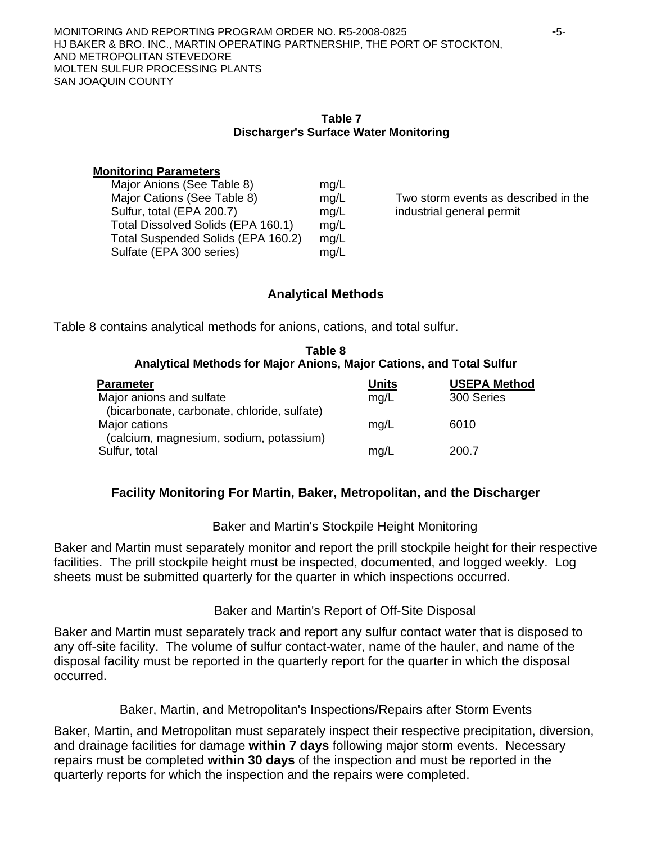#### **Table 7 Discharger's Surface Water Monitoring**

#### **Monitoring Parameters**

| Major Anions (See Table 8)         | mg/L |
|------------------------------------|------|
| Major Cations (See Table 8)        | mg/L |
| Sulfur, total (EPA 200.7)          | mg/L |
| Total Dissolved Solids (EPA 160.1) | mg/L |
| Total Suspended Solids (EPA 160.2) | mg/L |
| Sulfate (EPA 300 series)           | mq/L |

Two storm events as described in the industrial general permit

# **Analytical Methods**

Table 8 contains analytical methods for anions, cations, and total sulfur.

#### **Table 8 Analytical Methods for Major Anions, Major Cations, and Total Sulfur**

| <b>Parameter</b>                            | <b>Units</b> | <b>USEPA Method</b> |
|---------------------------------------------|--------------|---------------------|
| Major anions and sulfate                    | mq/L         | 300 Series          |
| (bicarbonate, carbonate, chloride, sulfate) |              |                     |
| Major cations                               | mq/L         | 6010                |
| (calcium, magnesium, sodium, potassium)     |              |                     |
| Sulfur, total                               | mq/L         | 200.7               |

# **Facility Monitoring For Martin, Baker, Metropolitan, and the Discharger**

## Baker and Martin's Stockpile Height Monitoring

Baker and Martin must separately monitor and report the prill stockpile height for their respective facilities. The prill stockpile height must be inspected, documented, and logged weekly. Log sheets must be submitted quarterly for the quarter in which inspections occurred.

# Baker and Martin's Report of Off-Site Disposal

Baker and Martin must separately track and report any sulfur contact water that is disposed to any off-site facility. The volume of sulfur contact-water, name of the hauler, and name of the disposal facility must be reported in the quarterly report for the quarter in which the disposal occurred.

## Baker, Martin, and Metropolitan's Inspections/Repairs after Storm Events

Baker, Martin, and Metropolitan must separately inspect their respective precipitation, diversion, and drainage facilities for damage **within 7 days** following major storm events. Necessary repairs must be completed **within 30 days** of the inspection and must be reported in the quarterly reports for which the inspection and the repairs were completed.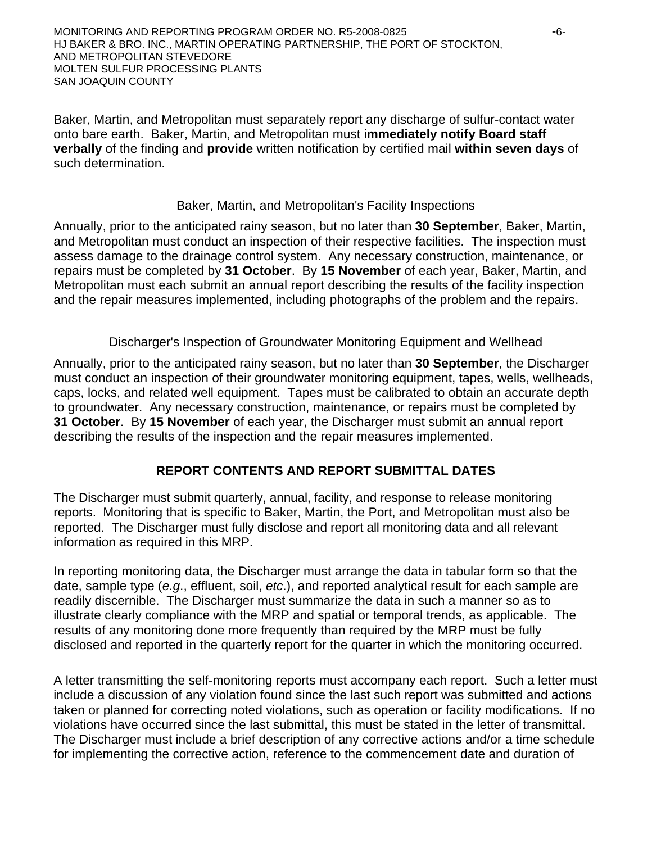MONITORING AND REPORTING PROGRAM ORDER NO. R5-2008-0825 - 6- HJ BAKER & BRO. INC., MARTIN OPERATING PARTNERSHIP, THE PORT OF STOCKTON, AND METROPOLITAN STEVEDORE MOLTEN SULFUR PROCESSING PLANTS SAN JOAQUIN COUNTY

Baker, Martin, and Metropolitan must separately report any discharge of sulfur-contact water onto bare earth. Baker, Martin, and Metropolitan must i**mmediately notify Board staff verbally** of the finding and **provide** written notification by certified mail **within seven days** of such determination.

#### Baker, Martin, and Metropolitan's Facility Inspections

Annually, prior to the anticipated rainy season, but no later than **30 September**, Baker, Martin, and Metropolitan must conduct an inspection of their respective facilities. The inspection must assess damage to the drainage control system. Any necessary construction, maintenance, or repairs must be completed by **31 October**. By **15 November** of each year, Baker, Martin, and Metropolitan must each submit an annual report describing the results of the facility inspection and the repair measures implemented, including photographs of the problem and the repairs.

#### Discharger's Inspection of Groundwater Monitoring Equipment and Wellhead

Annually, prior to the anticipated rainy season, but no later than **30 September**, the Discharger must conduct an inspection of their groundwater monitoring equipment, tapes, wells, wellheads, caps, locks, and related well equipment. Tapes must be calibrated to obtain an accurate depth to groundwater. Any necessary construction, maintenance, or repairs must be completed by **31 October**. By **15 November** of each year, the Discharger must submit an annual report describing the results of the inspection and the repair measures implemented.

## **REPORT CONTENTS AND REPORT SUBMITTAL DATES**

The Discharger must submit quarterly, annual, facility, and response to release monitoring reports. Monitoring that is specific to Baker, Martin, the Port, and Metropolitan must also be reported. The Discharger must fully disclose and report all monitoring data and all relevant information as required in this MRP.

In reporting monitoring data, the Discharger must arrange the data in tabular form so that the date, sample type (*e.g*., effluent, soil, *etc*.), and reported analytical result for each sample are readily discernible. The Discharger must summarize the data in such a manner so as to illustrate clearly compliance with the MRP and spatial or temporal trends, as applicable. The results of any monitoring done more frequently than required by the MRP must be fully disclosed and reported in the quarterly report for the quarter in which the monitoring occurred.

A letter transmitting the self-monitoring reports must accompany each report. Such a letter must include a discussion of any violation found since the last such report was submitted and actions taken or planned for correcting noted violations, such as operation or facility modifications. If no violations have occurred since the last submittal, this must be stated in the letter of transmittal. The Discharger must include a brief description of any corrective actions and/or a time schedule for implementing the corrective action, reference to the commencement date and duration of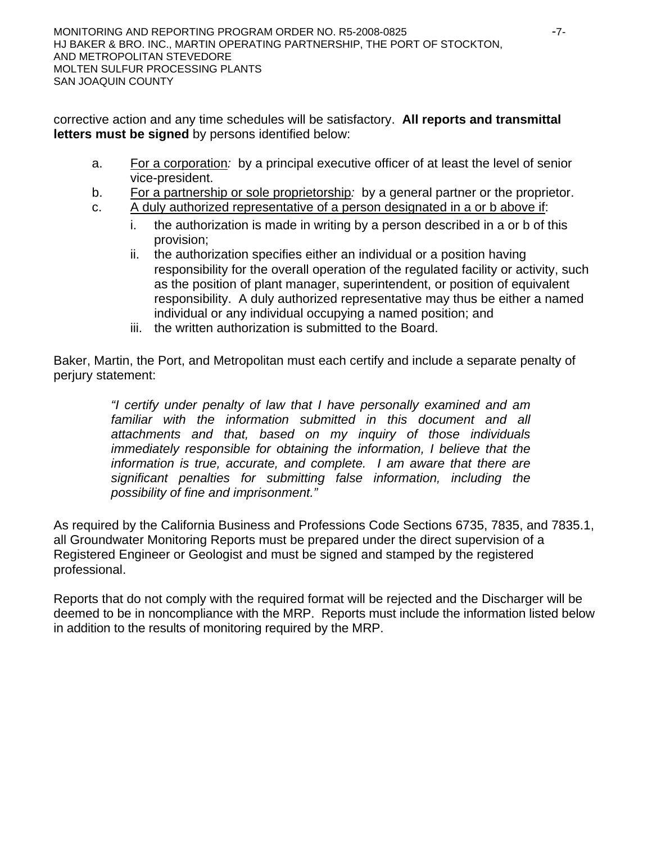corrective action and any time schedules will be satisfactory. **All reports and transmittal letters must be signed** by persons identified below:

- a. For a corporation*:* by a principal executive officer of at least the level of senior vice-president.
- b. For a partnership or sole proprietorship*:* by a general partner or the proprietor.
- c. A duly authorized representative of a person designated in a or b above if:
	- i. the authorization is made in writing by a person described in a or b of this provision;
	- ii. the authorization specifies either an individual or a position having responsibility for the overall operation of the regulated facility or activity, such as the position of plant manager, superintendent, or position of equivalent responsibility. A duly authorized representative may thus be either a named individual or any individual occupying a named position; and
	- iii. the written authorization is submitted to the Board.

Baker, Martin, the Port, and Metropolitan must each certify and include a separate penalty of perjury statement:

> *"I certify under penalty of law that I have personally examined and am familiar with the information submitted in this document and all attachments and that, based on my inquiry of those individuals immediately responsible for obtaining the information, I believe that the information is true, accurate, and complete. I am aware that there are significant penalties for submitting false information, including the possibility of fine and imprisonment."*

As required by the California Business and Professions Code Sections 6735, 7835, and 7835.1, all Groundwater Monitoring Reports must be prepared under the direct supervision of a Registered Engineer or Geologist and must be signed and stamped by the registered professional.

Reports that do not comply with the required format will be rejected and the Discharger will be deemed to be in noncompliance with the MRP. Reports must include the information listed below in addition to the results of monitoring required by the MRP.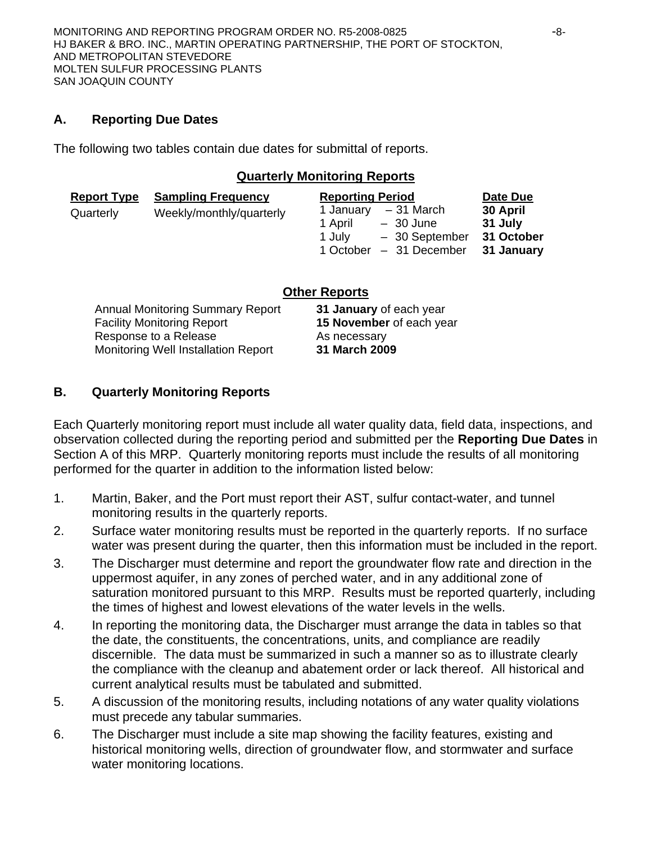## **A. Reporting Due Dates**

The following two tables contain due dates for submittal of reports.

#### **Quarterly Monitoring Reports**

| <b>Report Type</b> | <b>Sampling Frequency</b> | <b>Reporting Period</b>                          | Date Due            |  |
|--------------------|---------------------------|--------------------------------------------------|---------------------|--|
| Quarterly          | Weekly/monthly/quarterly  | - 31 March<br>1 January<br>1 April<br>$-30$ June | 30 April<br>31 July |  |
|                    |                           | - 30 September<br>1 July                         | 31 October          |  |
|                    |                           | 1 October<br>- 31 December                       | 31 January          |  |

|                                            | <b>Other Reports</b>     |
|--------------------------------------------|--------------------------|
| <b>Annual Monitoring Summary Report</b>    | 31 January of each year  |
| <b>Facility Monitoring Report</b>          | 15 November of each year |
| Response to a Release                      | As necessary             |
| <b>Monitoring Well Installation Report</b> | 31 March 2009            |

## **B. Quarterly Monitoring Reports**

Each Quarterly monitoring report must include all water quality data, field data, inspections, and observation collected during the reporting period and submitted per the **Reporting Due Dates** in Section A of this MRP. Quarterly monitoring reports must include the results of all monitoring performed for the quarter in addition to the information listed below:

- 1. Martin, Baker, and the Port must report their AST, sulfur contact-water, and tunnel monitoring results in the quarterly reports.
- 2. Surface water monitoring results must be reported in the quarterly reports. If no surface water was present during the quarter, then this information must be included in the report.
- 3. The Discharger must determine and report the groundwater flow rate and direction in the uppermost aquifer, in any zones of perched water, and in any additional zone of saturation monitored pursuant to this MRP. Results must be reported quarterly, including the times of highest and lowest elevations of the water levels in the wells.
- 4. In reporting the monitoring data, the Discharger must arrange the data in tables so that the date, the constituents, the concentrations, units, and compliance are readily discernible. The data must be summarized in such a manner so as to illustrate clearly the compliance with the cleanup and abatement order or lack thereof. All historical and current analytical results must be tabulated and submitted.
- 5. A discussion of the monitoring results, including notations of any water quality violations must precede any tabular summaries.
- 6. The Discharger must include a site map showing the facility features, existing and historical monitoring wells, direction of groundwater flow, and stormwater and surface water monitoring locations.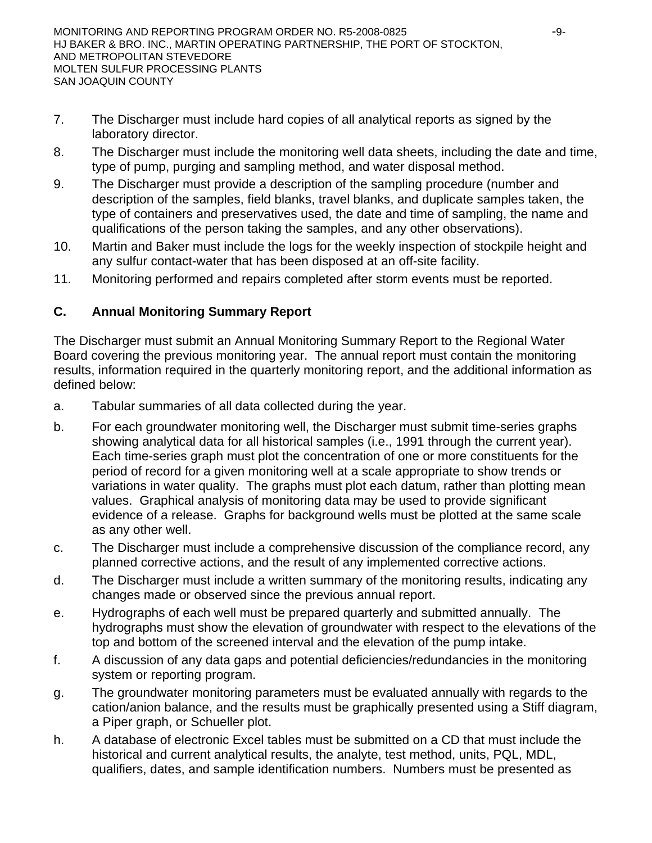- 7. The Discharger must include hard copies of all analytical reports as signed by the laboratory director.
- 8. The Discharger must include the monitoring well data sheets, including the date and time, type of pump, purging and sampling method, and water disposal method.
- 9. The Discharger must provide a description of the sampling procedure (number and description of the samples, field blanks, travel blanks, and duplicate samples taken, the type of containers and preservatives used, the date and time of sampling, the name and qualifications of the person taking the samples, and any other observations).
- 10. Martin and Baker must include the logs for the weekly inspection of stockpile height and any sulfur contact-water that has been disposed at an off-site facility.
- 11. Monitoring performed and repairs completed after storm events must be reported.

# **C. Annual Monitoring Summary Report**

The Discharger must submit an Annual Monitoring Summary Report to the Regional Water Board covering the previous monitoring year. The annual report must contain the monitoring results, information required in the quarterly monitoring report, and the additional information as defined below:

- a. Tabular summaries of all data collected during the year.
- b. For each groundwater monitoring well, the Discharger must submit time-series graphs showing analytical data for all historical samples (i.e., 1991 through the current year). Each time-series graph must plot the concentration of one or more constituents for the period of record for a given monitoring well at a scale appropriate to show trends or variations in water quality. The graphs must plot each datum, rather than plotting mean values. Graphical analysis of monitoring data may be used to provide significant evidence of a release. Graphs for background wells must be plotted at the same scale as any other well.
- c. The Discharger must include a comprehensive discussion of the compliance record, any planned corrective actions, and the result of any implemented corrective actions.
- d. The Discharger must include a written summary of the monitoring results, indicating any changes made or observed since the previous annual report.
- e. Hydrographs of each well must be prepared quarterly and submitted annually. The hydrographs must show the elevation of groundwater with respect to the elevations of the top and bottom of the screened interval and the elevation of the pump intake.
- f. A discussion of any data gaps and potential deficiencies/redundancies in the monitoring system or reporting program.
- g. The groundwater monitoring parameters must be evaluated annually with regards to the cation/anion balance, and the results must be graphically presented using a Stiff diagram, a Piper graph, or Schueller plot.
- h. A database of electronic Excel tables must be submitted on a CD that must include the historical and current analytical results, the analyte, test method, units, PQL, MDL, qualifiers, dates, and sample identification numbers. Numbers must be presented as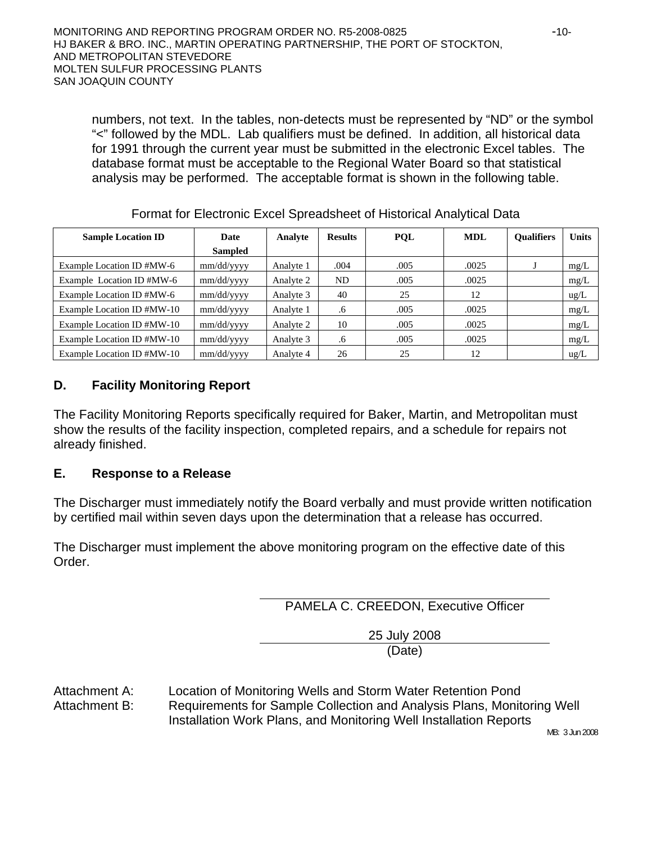numbers, not text. In the tables, non-detects must be represented by "ND" or the symbol "<" followed by the MDL. Lab qualifiers must be defined. In addition, all historical data for 1991 through the current year must be submitted in the electronic Excel tables. The database format must be acceptable to the Regional Water Board so that statistical analysis may be performed. The acceptable format is shown in the following table.

| <b>Sample Location ID</b>  | <b>Date</b>    | Analyte   | <b>Results</b> | <b>POL</b> | <b>MDL</b> | <b>Oualifiers</b> | <b>Units</b>  |
|----------------------------|----------------|-----------|----------------|------------|------------|-------------------|---------------|
|                            | <b>Sampled</b> |           |                |            |            |                   |               |
| Example Location ID #MW-6  | mm/dd/yyyy     | Analyte 1 | .004           | .005       | .0025      |                   | mg/L          |
| Example Location ID #MW-6  | mm/dd/yyyy     | Analyte 2 | ND             | .005       | .0025      |                   | mg/L          |
| Example Location ID #MW-6  | mm/dd/yyyy     | Analyte 3 | 40             | 25         | 12         |                   | ug/L          |
| Example Location ID #MW-10 | mm/dd/yyyy     | Analyte 1 | .6             | .005       | .0025      |                   | mg/L          |
| Example Location ID #MW-10 | mm/dd/yyyy     | Analyte 2 | 10             | .005       | .0025      |                   | mg/L          |
| Example Location ID #MW-10 | mm/dd/yyyy     | Analyte 3 | .6             | .005       | .0025      |                   | mg/L          |
| Example Location ID #MW-10 | mm/dd/vvvv     | Analyte 4 | 26             | 25         | 12         |                   | $\text{ug/L}$ |

#### Format for Electronic Excel Spreadsheet of Historical Analytical Data

# **D. Facility Monitoring Report**

The Facility Monitoring Reports specifically required for Baker, Martin, and Metropolitan must show the results of the facility inspection, completed repairs, and a schedule for repairs not already finished.

## **E. Response to a Release**

The Discharger must immediately notify the Board verbally and must provide written notification by certified mail within seven days upon the determination that a release has occurred.

The Discharger must implement the above monitoring program on the effective date of this Order.

PAMELA C. CREEDON, Executive Officer

25 July 2008 (Date)

Attachment A: Location of Monitoring Wells and Storm Water Retention Pond Attachment B: Requirements for Sample Collection and Analysis Plans, Monitoring Well Installation Work Plans, and Monitoring Well Installation Reports

MB: 3 Jun 2008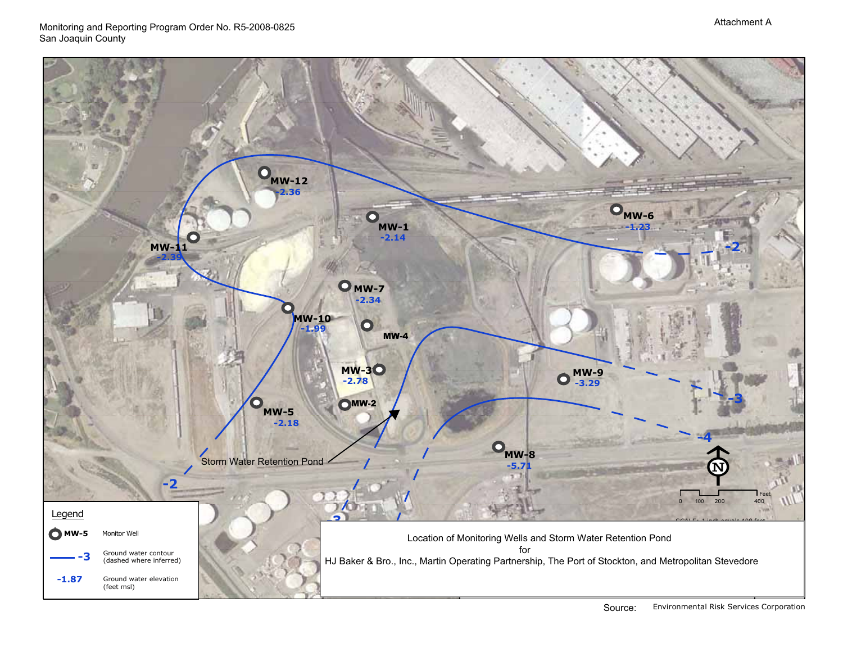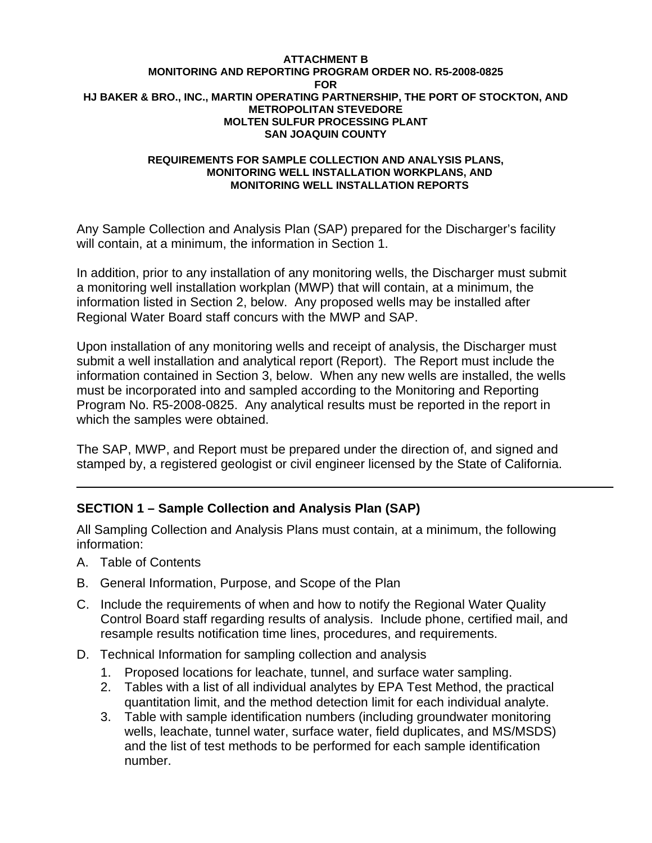#### **ATTACHMENT B MONITORING AND REPORTING PROGRAM ORDER NO. R5-2008-0825 FOR HJ BAKER & BRO., INC., MARTIN OPERATING PARTNERSHIP, THE PORT OF STOCKTON, AND METROPOLITAN STEVEDORE MOLTEN SULFUR PROCESSING PLANT SAN JOAQUIN COUNTY**

#### **REQUIREMENTS FOR SAMPLE COLLECTION AND ANALYSIS PLANS, MONITORING WELL INSTALLATION WORKPLANS, AND MONITORING WELL INSTALLATION REPORTS**

Any Sample Collection and Analysis Plan (SAP) prepared for the Discharger's facility will contain, at a minimum, the information in Section 1.

In addition, prior to any installation of any monitoring wells, the Discharger must submit a monitoring well installation workplan (MWP) that will contain, at a minimum, the information listed in Section 2, below. Any proposed wells may be installed after Regional Water Board staff concurs with the MWP and SAP.

Upon installation of any monitoring wells and receipt of analysis, the Discharger must submit a well installation and analytical report (Report). The Report must include the information contained in Section 3, below. When any new wells are installed, the wells must be incorporated into and sampled according to the Monitoring and Reporting Program No. R5-2008-0825. Any analytical results must be reported in the report in which the samples were obtained.

The SAP, MWP, and Report must be prepared under the direction of, and signed and stamped by, a registered geologist or civil engineer licensed by the State of California.

# **SECTION 1 – Sample Collection and Analysis Plan (SAP)**

All Sampling Collection and Analysis Plans must contain, at a minimum, the following information:

- A. Table of Contents
- B. General Information, Purpose, and Scope of the Plan
- C. Include the requirements of when and how to notify the Regional Water Quality Control Board staff regarding results of analysis. Include phone, certified mail, and resample results notification time lines, procedures, and requirements.
- D. Technical Information for sampling collection and analysis
	- 1. Proposed locations for leachate, tunnel, and surface water sampling.
	- 2. Tables with a list of all individual analytes by EPA Test Method, the practical quantitation limit, and the method detection limit for each individual analyte.
	- 3. Table with sample identification numbers (including groundwater monitoring wells, leachate, tunnel water, surface water, field duplicates, and MS/MSDS) and the list of test methods to be performed for each sample identification number.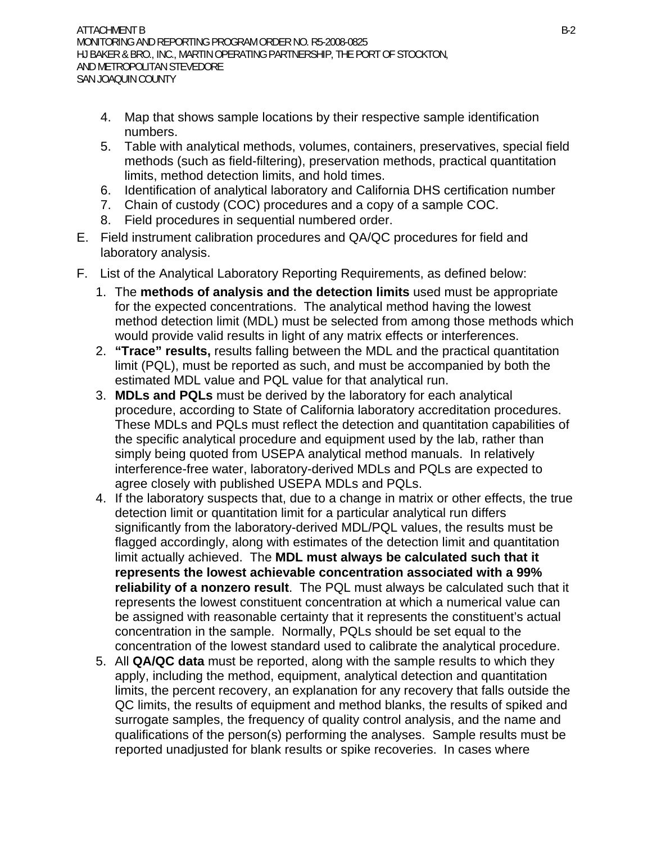- 4. Map that shows sample locations by their respective sample identification numbers.
- 5. Table with analytical methods, volumes, containers, preservatives, special field methods (such as field-filtering), preservation methods, practical quantitation limits, method detection limits, and hold times.
- 6. Identification of analytical laboratory and California DHS certification number
- 7. Chain of custody (COC) procedures and a copy of a sample COC.
- 8. Field procedures in sequential numbered order.
- E. Field instrument calibration procedures and QA/QC procedures for field and laboratory analysis.
- F. List of the Analytical Laboratory Reporting Requirements, as defined below:
	- 1. The **methods of analysis and the detection limits** used must be appropriate for the expected concentrations. The analytical method having the lowest method detection limit (MDL) must be selected from among those methods which would provide valid results in light of any matrix effects or interferences.
	- 2. **"Trace" results,** results falling between the MDL and the practical quantitation limit (PQL), must be reported as such, and must be accompanied by both the estimated MDL value and PQL value for that analytical run.
	- 3. **MDLs and PQLs** must be derived by the laboratory for each analytical procedure, according to State of California laboratory accreditation procedures. These MDLs and PQLs must reflect the detection and quantitation capabilities of the specific analytical procedure and equipment used by the lab, rather than simply being quoted from USEPA analytical method manuals. In relatively interference-free water, laboratory-derived MDLs and PQLs are expected to agree closely with published USEPA MDLs and PQLs.
	- 4. If the laboratory suspects that, due to a change in matrix or other effects, the true detection limit or quantitation limit for a particular analytical run differs significantly from the laboratory-derived MDL/PQL values, the results must be flagged accordingly, along with estimates of the detection limit and quantitation limit actually achieved. The **MDL must always be calculated such that it represents the lowest achievable concentration associated with a 99% reliability of a nonzero result**. The PQL must always be calculated such that it represents the lowest constituent concentration at which a numerical value can be assigned with reasonable certainty that it represents the constituent's actual concentration in the sample. Normally, PQLs should be set equal to the concentration of the lowest standard used to calibrate the analytical procedure.
	- 5. All **QA/QC data** must be reported, along with the sample results to which they apply, including the method, equipment, analytical detection and quantitation limits, the percent recovery, an explanation for any recovery that falls outside the QC limits, the results of equipment and method blanks, the results of spiked and surrogate samples, the frequency of quality control analysis, and the name and qualifications of the person(s) performing the analyses. Sample results must be reported unadjusted for blank results or spike recoveries. In cases where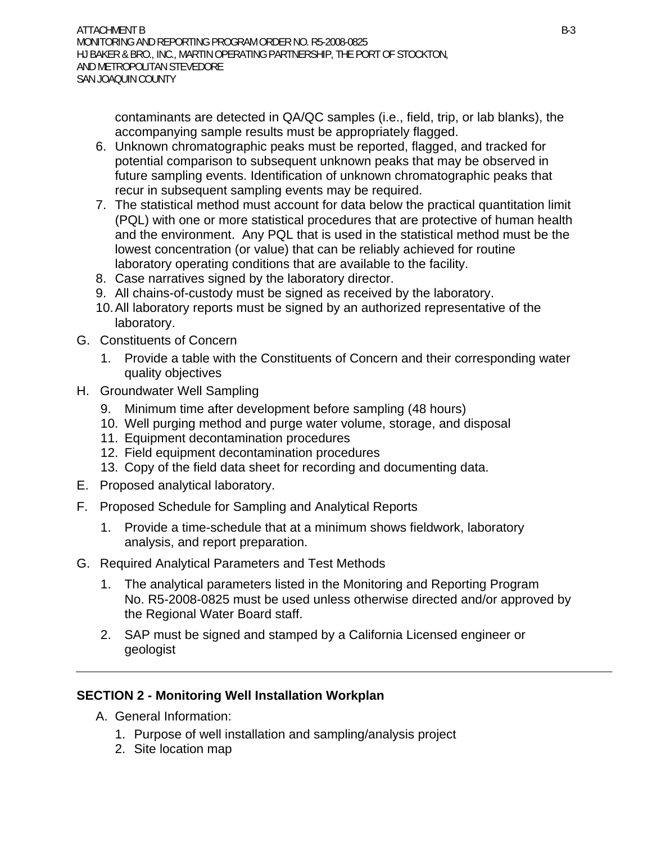contaminants are detected in QA/QC samples (i.e., field, trip, or lab blanks), the accompanying sample results must be appropriately flagged.

- 6. Unknown chromatographic peaks must be reported, flagged, and tracked for potential comparison to subsequent unknown peaks that may be observed in future sampling events. Identification of unknown chromatographic peaks that recur in subsequent sampling events may be required.
- 7. The statistical method must account for data below the practical quantitation limit (PQL) with one or more statistical procedures that are protective of human health and the environment. Any PQL that is used in the statistical method must be the lowest concentration (or value) that can be reliably achieved for routine laboratory operating conditions that are available to the facility.
- 8. Case narratives signed by the laboratory director.
- 9. All chains-of-custody must be signed as received by the laboratory.
- 10. All laboratory reports must be signed by an authorized representative of the laboratory.
- G. Constituents of Concern
	- 1. Provide a table with the Constituents of Concern and their corresponding water quality objectives
- H. Groundwater Well Sampling
	- 9. Minimum time after development before sampling (48 hours)
	- 10. Well purging method and purge water volume, storage, and disposal
	- 11. Equipment decontamination procedures
	- 12. Field equipment decontamination procedures
	- 13. Copy of the field data sheet for recording and documenting data.
- E. Proposed analytical laboratory.
- F. Proposed Schedule for Sampling and Analytical Reports
	- 1. Provide a time-schedule that at a minimum shows fieldwork, laboratory analysis, and report preparation.
- G. Required Analytical Parameters and Test Methods
	- 1. The analytical parameters listed in the Monitoring and Reporting Program No. R5-2008-0825 must be used unless otherwise directed and/or approved by the Regional Water Board staff.
	- 2. SAP must be signed and stamped by a California Licensed engineer or geologist

# **SECTION 2 - Monitoring Well Installation Workplan**

- A. General Information:
	- 1. Purpose of well installation and sampling/analysis project
	- 2. Site location map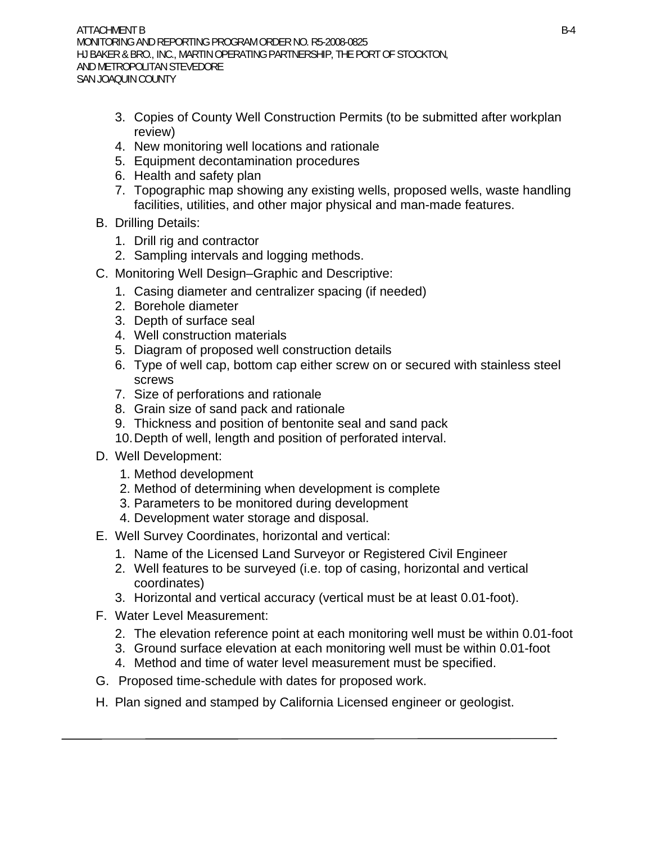- 3. Copies of County Well Construction Permits (to be submitted after workplan review)
- 4. New monitoring well locations and rationale
- 5. Equipment decontamination procedures
- 6. Health and safety plan
- 7. Topographic map showing any existing wells, proposed wells, waste handling facilities, utilities, and other major physical and man-made features.
- B. Drilling Details:
	- 1. Drill rig and contractor
	- 2. Sampling intervals and logging methods.
- C. Monitoring Well Design–Graphic and Descriptive:
	- 1. Casing diameter and centralizer spacing (if needed)
	- 2. Borehole diameter
	- 3. Depth of surface seal
	- 4. Well construction materials
	- 5. Diagram of proposed well construction details
	- 6. Type of well cap, bottom cap either screw on or secured with stainless steel screws
	- 7. Size of perforations and rationale
	- 8. Grain size of sand pack and rationale
	- 9. Thickness and position of bentonite seal and sand pack
	- 10. Depth of well, length and position of perforated interval.
- D. Well Development:
	- 1. Method development
	- 2. Method of determining when development is complete
	- 3. Parameters to be monitored during development
	- 4. Development water storage and disposal.
- E. Well Survey Coordinates, horizontal and vertical:
	- 1. Name of the Licensed Land Surveyor or Registered Civil Engineer
	- 2. Well features to be surveyed (i.e. top of casing, horizontal and vertical coordinates)
	- 3. Horizontal and vertical accuracy (vertical must be at least 0.01-foot).
- F. Water Level Measurement:
	- 2. The elevation reference point at each monitoring well must be within 0.01-foot
	- 3. Ground surface elevation at each monitoring well must be within 0.01-foot
	- 4. Method and time of water level measurement must be specified.
- G. Proposed time-schedule with dates for proposed work.
- H. Plan signed and stamped by California Licensed engineer or geologist.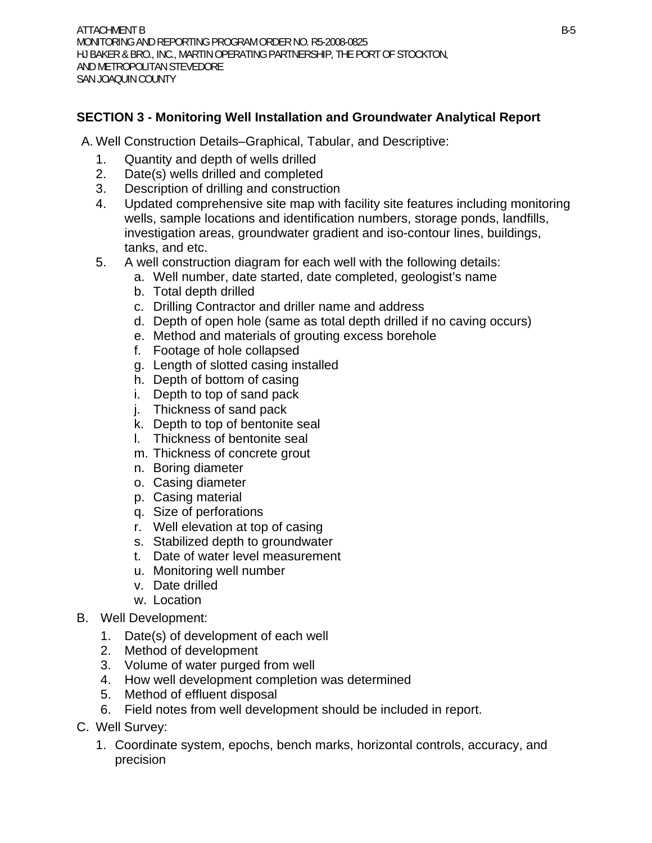# **SECTION 3 - Monitoring Well Installation and Groundwater Analytical Report**

- A. Well Construction Details–Graphical, Tabular, and Descriptive:
	- 1. Quantity and depth of wells drilled
	- 2. Date(s) wells drilled and completed
	- 3. Description of drilling and construction
	- 4. Updated comprehensive site map with facility site features including monitoring wells, sample locations and identification numbers, storage ponds, landfills, investigation areas, groundwater gradient and iso-contour lines, buildings, tanks, and etc.
	- 5. A well construction diagram for each well with the following details:
		- a. Well number, date started, date completed, geologist's name
		- b. Total depth drilled
		- c. Drilling Contractor and driller name and address
		- d. Depth of open hole (same as total depth drilled if no caving occurs)
		- e. Method and materials of grouting excess borehole
		- f. Footage of hole collapsed
		- g. Length of slotted casing installed
		- h. Depth of bottom of casing
		- i. Depth to top of sand pack
		- j. Thickness of sand pack
		- k. Depth to top of bentonite seal
		- l. Thickness of bentonite seal
		- m. Thickness of concrete grout
		- n. Boring diameter
		- o. Casing diameter
		- p. Casing material
		- q. Size of perforations
		- r. Well elevation at top of casing
		- s. Stabilized depth to groundwater
		- t. Date of water level measurement
		- u. Monitoring well number
		- v. Date drilled
		- w. Location
- B. Well Development:
	- 1. Date(s) of development of each well
	- 2. Method of development
	- 3. Volume of water purged from well
	- 4. How well development completion was determined
	- 5. Method of effluent disposal
	- 6. Field notes from well development should be included in report.
- C. Well Survey:
	- 1. Coordinate system, epochs, bench marks, horizontal controls, accuracy, and precision